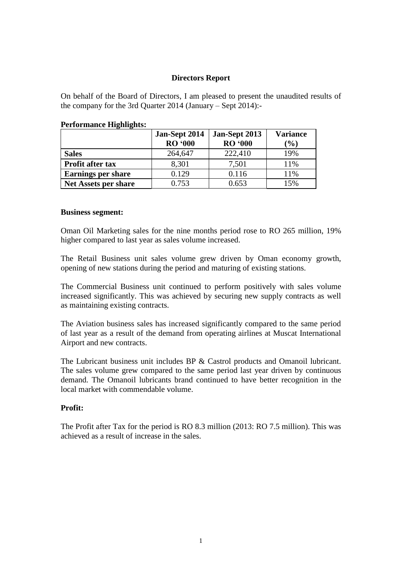## **Directors Report**

On behalf of the Board of Directors, I am pleased to present the unaudited results of the company for the 3rd Quarter 2014 (January – Sept 2014):-

|                           | Jan-Sept 2014<br><b>RO</b> '000 | Jan-Sept 2013<br><b>RO</b> '000 | <b>Variance</b><br>$(\%)$ |
|---------------------------|---------------------------------|---------------------------------|---------------------------|
| <b>Sales</b>              | 264,647                         | 222,410                         | 19%                       |
| Profit after tax          | 8,301                           | 7,501                           | 11%                       |
| <b>Earnings per share</b> | 0.129                           | 0.116                           | 11%                       |
| Net Assets per share      | 0.753                           | 0.653                           | 15%                       |

#### **Performance Highlights:**

#### **Business segment:**

Oman Oil Marketing sales for the nine months period rose to RO 265 million, 19% higher compared to last year as sales volume increased.

The Retail Business unit sales volume grew driven by Oman economy growth, opening of new stations during the period and maturing of existing stations.

The Commercial Business unit continued to perform positively with sales volume increased significantly. This was achieved by securing new supply contracts as well as maintaining existing contracts.

The Aviation business sales has increased significantly compared to the same period of last year as a result of the demand from operating airlines at Muscat International Airport and new contracts.

The Lubricant business unit includes BP & Castrol products and Omanoil lubricant. The sales volume grew compared to the same period last year driven by continuous demand. The Omanoil lubricants brand continued to have better recognition in the local market with commendable volume.

## **Profit:**

The Profit after Tax for the period is RO 8.3 million (2013: RO 7.5 million). This was achieved as a result of increase in the sales.